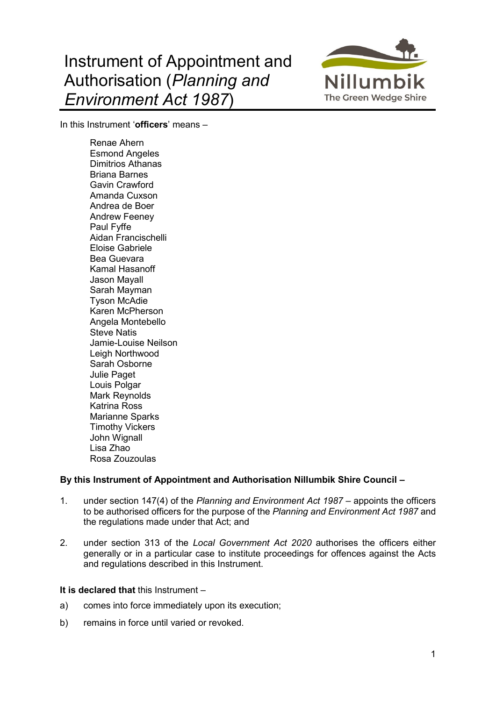## Instrument of Appointment and Authorisation (*Planning and Environment Act 1987*)



In this Instrument '**officers**' means –

Renae Ahern Esmond Angeles Dimitrios Athanas Briana Barnes Gavin Crawford Amanda Cuxson Andrea de Boer Andrew Feeney Paul Fyffe Aidan Francischelli Eloise Gabriele Bea Guevara Kamal Hasanoff Jason Mayall Sarah Mayman Tyson McAdie Karen McPherson Angela Montebello Steve Natis Jamie-Louise Neilson Leigh Northwood Sarah Osborne Julie Paget Louis Polgar Mark Reynolds Katrina Ross Marianne Sparks Timothy Vickers John Wignall Lisa Zhao Rosa Zouzoulas

## **By this Instrument of Appointment and Authorisation Nillumbik Shire Council –**

- 1. under section 147(4) of the *Planning and Environment Act 1987* appoints the officers to be authorised officers for the purpose of the *Planning and Environment Act 1987* and the regulations made under that Act; and
- 2. under section 313 of the *Local Government Act 2020* authorises the officers either generally or in a particular case to institute proceedings for offences against the Acts and regulations described in this Instrument.

## **It is declared that** this Instrument –

- a) comes into force immediately upon its execution;
- b) remains in force until varied or revoked.